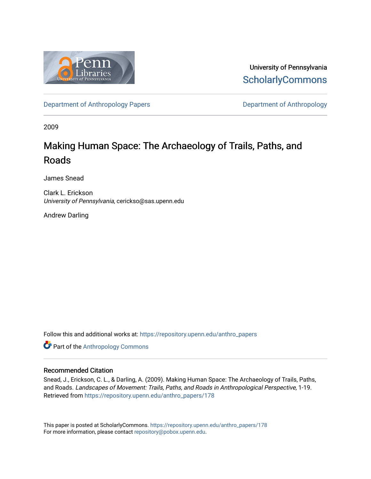

University of Pennsylvania **ScholarlyCommons** 

[Department of Anthropology Papers](https://repository.upenn.edu/anthro_papers) **Department of Anthropology** 

2009

## Making Human Space: The Archaeology of Trails, Paths, and Roads

James Snead

Clark L. Erickson University of Pennsylvania, cerickso@sas.upenn.edu

Andrew Darling

Follow this and additional works at: [https://repository.upenn.edu/anthro\\_papers](https://repository.upenn.edu/anthro_papers?utm_source=repository.upenn.edu%2Fanthro_papers%2F178&utm_medium=PDF&utm_campaign=PDFCoverPages)

**Part of the [Anthropology Commons](http://network.bepress.com/hgg/discipline/318?utm_source=repository.upenn.edu%2Fanthro_papers%2F178&utm_medium=PDF&utm_campaign=PDFCoverPages)** 

#### Recommended Citation

Snead, J., Erickson, C. L., & Darling, A. (2009). Making Human Space: The Archaeology of Trails, Paths, and Roads. Landscapes of Movement: Trails, Paths, and Roads in Anthropological Perspective, 1-19. Retrieved from [https://repository.upenn.edu/anthro\\_papers/178](https://repository.upenn.edu/anthro_papers/178?utm_source=repository.upenn.edu%2Fanthro_papers%2F178&utm_medium=PDF&utm_campaign=PDFCoverPages)

This paper is posted at ScholarlyCommons. [https://repository.upenn.edu/anthro\\_papers/178](https://repository.upenn.edu/anthro_papers/178) For more information, please contact [repository@pobox.upenn.edu.](mailto:repository@pobox.upenn.edu)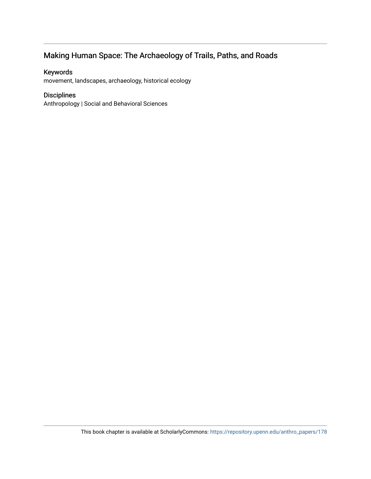### Making Human Space: The Archaeology of Trails, Paths, and Roads

### Keywords

movement, landscapes, archaeology, historical ecology

### Disciplines

Anthropology | Social and Behavioral Sciences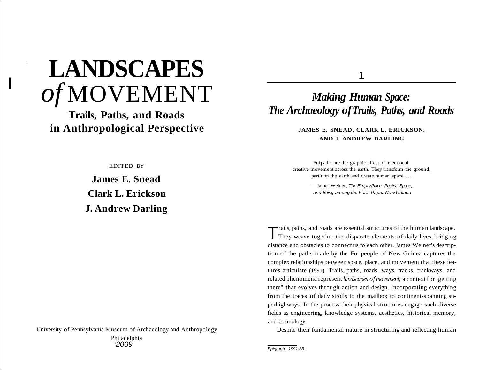# <sup>I</sup> **LANDSCAPES** *of* MOVEMENT

I

**Trails, Paths, and Roads in Anthropological Perspective**

EDITED BY

**James E. Snead Clark L. Erickson J. Andrew Darling**

University of Pennsylvania Museum of Archaeology and Anthropology Philadelphia '*2009*

1

### *Making Human Space: The Archaeology ofTrails, Paths, and Roads*

**JAMES E. SNEAD, CLARK L. ERICKSON, AND J. ANDREW DARLING**

Foi paths are the graphic effect of intentional, creative movement across the earth. They transform the ground, partition the earth and create human space ...

> - James Weiner, The Empty Place: Poetry, Space, and Being among the Foiof PapuaNew Guinea

Trails, paths, and roads are essential structures of the human landscape. They weave together the disparate elements of daily lives, bridging distance and obstacles to connect us to each other. James Weiner's description of the paths made by the Foi people of New Guinea captures the complex relationships between space, place, and movement that these features articulate (1991). Trails, paths, roads, ways, tracks, trackways, and related phenomena represent *landscapes of movement,* a context for"getting there" that evolves through action and design, incorporating everything from the traces of daily strolls to the mailbox to continent-spanning superhighways. In the process their.physical structures engage such diverse fields as engineering, knowledge systems, aesthetics, historical memory, and cosmology.

Despite their fundamental nature in structuring and reflecting human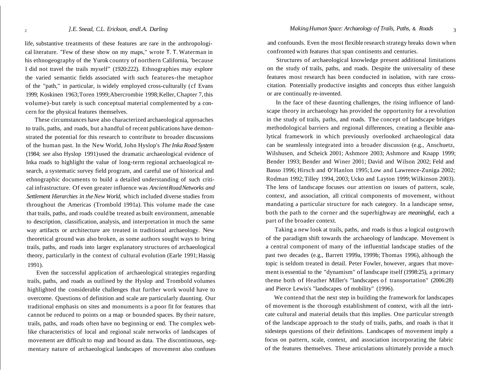life, substantive treatments of these features are rare in the anthropological literature. "Few of these show on my maps," wrote T. T. Waterman in his ethnogeography of the Yurok country of northern California, 'because I did not travel the trails myself" (1920:222). Ethnographies may explore the varied semantic fields associated with such features-the metaphor of the "path," in particular, is widely employed cross-culturally (cf Evans 1999; Koskinen 1963;Toren 1999;Abercrombie 1998;Keller, Chapter 7, this volume)-but rarely is such conceptual material complemented by a concern for the physical features themselves.

These circumstances have also characterized archaeological approaches to trails, paths, and roads, but a handful of recent publications have demonstrated the potential for this research to contribute to broader discussions of the human past. In the New World, John Hyslop's *The Inka Road System* (1984; see also Hyslop 1991) used the dramatic archaeological evidence of Inka roads to highlight the value of long-term regional archaeological research, a systematic survey field program, and careful use of historical and ethnographic documents to build a detailed understanding of such critical infrastructure. Of even greater influence was *AncientRoadNetworks and Settlement Hierarchies in the New World,* which included diverse studies from throughout the Americas (Trombold 1991a). This volume made the case that trails, paths, and roads could be treated as built environment, amenable to description, classification, analysis, and interpretation in much the same way artifacts or architecture are treated in traditional archaeology. New theoretical ground was also broken, as some authors sought ways to bring trails, paths, and roads into larger explanatory structures of archaeological theory, particularly in the context of cultural evolution (Earle 1991;Hassig 1991).

Even the successful application of archaeological strategies regarding trails, paths, and roads as outlined by the Hyslop and Trombold volumes highlighted the considerable challenges that further work would have to overcome. Questions of definition and scale are particularly daunting. Our traditional emphasis on sites and monuments is a poor fit for features that cannot be reduced to points on a map or bounded spaces. By their nature, trails, paths, and roads often have no beginning or end. The complex weblike characteristics of local and regional scale networks of landscapes of movement are difficult to map and bound as data. The discontinuous, segmentary nature of archaeological landscapes of movement also confuses

and confounds. Even the most flexible research strategy breaks down when confronted with features that span continents and centuries.

Structures of archaeological knowledge present additional limitations on the study of trails, paths, and roads. Despite the universality of these features most research has been conducted in isolation, with rare crosscitation. Potentially productive insights and concepts thus either languish or are continually re-invented.

In the face of these daunting challenges, the rising influence of landscape theory in archaeology has provided the opportunity for a revolution in the study of trails, paths, and roads. The concept of landscape bridges methodological barriers and regional differences, creating a flexible analytical framework in which previously overlooked archaeological data can be seamlessly integrated into a broader discussion (e.g., Anschuetz, Wilshusen, and Scheick 2001; Ashmore 2003; Ashmore and Knapp 1999; Bender 1993; Bender and Winer 2001; David and Wilson 2002; Feld and Basso 1996; Hirsch and 0'Hanlon 1995; Low and Lawrence-Zuniga 2002; Rodman 1992;Tilley 1994, 2003; Ucko and Layton 1999;Wilkinson 2003). The lens of landscape focuses our attention on issues of pattern, scale, context, and association, all critical components of movement, without mandating a particular structure for each category. In a landscape sense, both the path to the corner and the superhighway are *meaningful,* each a part of the broader context.

Taking a new look at trails, paths, and roads is thus a logical outgrowth of the paradigm shift towards the archaeology of landscape. Movement is a central component of many of the influential landscape studies of the past two decades (e.g., Barrett 1999a, 1999b; Thomas 1996), although the topic is seldom treated in detail. Peter Fowler, however, argues that movement is essential to the "dynamism" of landscape itself (1998:25), a primary theme both of Heather Miller's "landscapes o f transportation" (2006:28) and Pierce Lewis's "landscapes of mobility" (1996).

We contend that the next step in building the framework for landscapes of movement is the thorough establishment of context, with all the intricate cultural and material details that this implies. One particular strength of the landscape approach to the study of trails, paths, and roads is that it sidesteps questions of their definitions. Landscapes of movement imply a focus on pattern, scale, context, and association incorporating the fabric of the features themselves. These articulations ultimately provide a much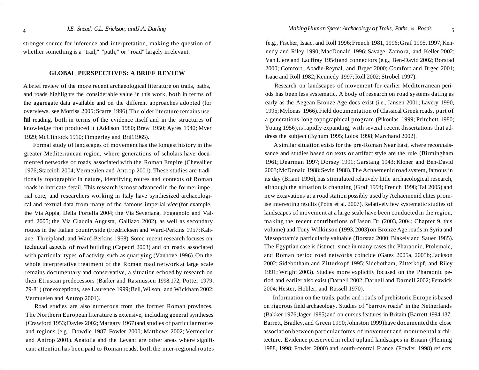stronger source for inference and interpretation, making the question of whether something is a "trail," "path," or "road" largely irrelevant.

#### **GLOBAL PERSPECTIVES: A BRIEF REVIEW**

A brief review of the more recent archaeological literature on trails, paths, and roads highlights the considerable value in this work, both in terms of the aggregate data available and on the different approaches adopted (for overviews, see Morriss 2005; Scarre 1996).The older literature remains use**ful** reading, both in terms of the evidence itself and in the structures of knowledge that produced it (Addison 1980; Brew 1950; Ayres 1940; Myer 1929;McClintock 1910;Timperley and Bril11965).

Formal study of landscapes of movement has the longest history in the greater Mediterranean region, where generations of scholars have documented networks of roads associated with the Roman Empire (Chevallier 1976; Staccioli 2004; Vermeulen and Antrop 2001). These studies are traditionally topographic in nature, identifying routes and contexts of Roman roads in intricate detail. This research is most advanced in the former imperial core, and researchers working in Italy have synthesized archaeological and textual data from many of the famous imperial *viae* (for example, the Via Appia, Della Portella 2004; the Via Severiana, Fogagnolo and Valenti 2005; the Via Claudia Augusta, Galliazo 2002), as well as secondary routes in the Italian countryside (Fredricksen and Ward-Perkins 1957; Kahane, Threipland, and Ward-Perkins 1968). Some recent research focuses on technical aspects of road building (Capedri 2003) and on roads associated with particular types of activity, such as quarrying (Vanhove 1996). On the whole interpretative treatment of the Roman road network at large scale remains documentary and conservative, a situation echoed by research on their Etruscan predecessors (Barker and Rasmussen 1998:172; Potter 1979: 79-81) (for exceptions, see Laurence 1999;Bell,Wilson, and Wickham 2002; Vermuelen and Antrop 2001).

Road studies are also numerous from the former Roman provinces. The Northern European literature is extensive, including general syntheses (Crawford 1953;Davies 2002;Margary 1967)and studies of particular routes and regions (e.g., Dowdle 1987; Fowler 2000; Matthews 2002; Vermeulen and Antrop 2001). Anatolia and the Levant are other areas where significant attention has been paid to Roman roads, both the inter-regional routes

(e.g., Fischer, Isaac, and Roll 1996;French 1981, 1996;Graf 1995, 1997;Kennedy and Riley 1990; MacDonald 1996; Savage, Zamora, and Keller 2002; Van Liere and Lauffray 1954) and connectors (e.g., Ben-David 2002; Borstad 2000; Comfort, Abadie-Reynal, and Brgec 2000; Comfort and Brgec 2001; Isaac and Roll 1982;Kennedy 1997; Roll 2002; Strobel 1997).

Research on landscapes of movement for earlier Mediterranean periods has been less systematic. A body of research on road systems dating as early as the Aegean Bronze Age does exist (i.e.,Jansen 2001; Lavery 1990, 1995;Mylonas 1966).Field documentation of Classical Greek roads, part of a generations-long topographical program (Pikoulas 1999; Pritchett 1980; Young 1956), is rapidly expanding, with several recent dissertations that address the subject (Bynum 1995; Lolos 1998; Marchand 2002).

A similarsituation exists for the pre-Roman Near East, where reconnaissance and studies based on texts or artifact style are the rule (Birmingham 1961; Dearman 1997; Dorsey 1991; Garstang 1943; Kloner and Ben-David 2003;McDonald 1988;Sevin 1988).The Achaemenid road system, famous in its day (Briant 1996),has stimulated relatively little archaeological research, although the situation is changing (Graf 1994; French 1998; Tal 2005) and new excavations at a road station possibly used by Achaemenid elites promise interesting results (Potts et al. 2007). Relatively few systematic studies of landscapes of movement at a large scale have been conducted in the region, making the recent contributions of Jason Dr (2003, 2004; Chapter 9, this volume) and Tony Wilkinson (1993,2003) on Bronze Age roads in Syria and Mesopotamia particularly valuable (Borstad 2000; Blakely and Sauer 1985). The Egyptian case is distinct, since in many cases the Pharaonic, Ptolemaic, and Roman period road networks coincide (Gates 2005a, 2005b; Jackson 2002; Sidebotham and Zitterkopf 1995; Sidebotham, Zitterkopf, and Riley 1991; Wright 2003). Studies more explicitly focused on the Pharaonic period and earlier also exist (Darnell 2002; Darnell and Darnell 2002; Fenwick 2004; Hester, Hobler, and Russell 1970).

Information on the trails, paths and roads of prehistoric Europe is based on rigorous field archaeology. Studies of "barrow roads" in the Netherlands (Bakker 1976;Jager 1985)and on cursus features in Britain (Barrett 1994:137; Barrett, Bradley,and Green 1990;Johnston 1999)have documented the close association between particular forms of movement and monumental architecture. Evidence preserved in relict upland landscapes in Britain (Fleming 1988, 1998; Fowler 2000) and south-central France (Fowler 1998) reflects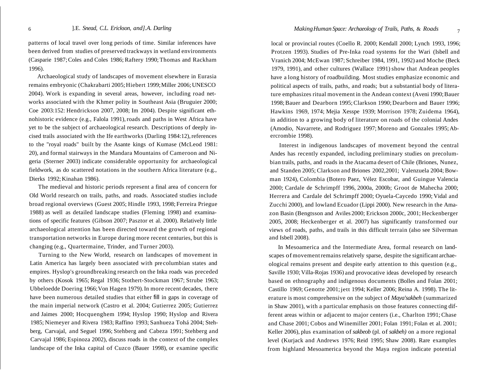patterns of local travel over long periods of time. Similar inferences have been derived from studies of preserved trackways in wetland environments (Casparie 1987; Coles and Coles 1986; Raftery 1990; Thomas and Rackham 1996).

Archaeological study of landscapes of movement elsewhere in Eurasia remains embryonic (Chakrabarti 2005; Hiebert 1999;Miller 2006; UNESCO 2004). Work is expanding in several areas, however, including road networks associated with the Khmer polity in Southeast Asia (Bruguier 2000; Coe 2003:152: Hendrickson 2007, 2008; Im 2004). Despite significant ethnohistoric evidence (e.g., Falola 1991), roads and paths in West Africa have yet to be the subject of archaeological research. Descriptions of deeply incised trails associated with the Ife earthworks (Darling 1984:12), references to the "royal roads" built by the Asante kings of Kumase (McLeod 1981: 20), and formal stairways in the Mandara Mountains of Cameroon and Nigeria (Sterner 2003) indicate considerable opportunity for archaeological fieldwork, as do scattered notations in the southern Africa literature (e.g., Dierks 1992; Kinahan 1986).

The medieval and historic periods represent a final area of concern for Old World research on trails, paths, and roads. Associated studies include broad regional overviews (Guest 2005; Hindle 1993, 1998; Ferreira Priegue 1988) as well as detailed landscape studies (Fleming 1998) and examinations of specific features (Gibson 2007; Pasztor et al. 2000). Relatively little archaeological attention has been directed toward the growth of regional transportation networks in Europe during more recent centuries, but this is changing (e.g., Quartermaine, Trinder, and Turner 2003).

Turning to the New World, research on landscapes of movement in Latin America has largely been associated with pre columbian states and empires. Hyslop's groundbreaking research on the Inka roads was preceded by others (Kosok 1965; Regal 1936; Stothert-Stockman 1967; Strube 1963; Ubbeloedde Doering 1966;Von Hagen 1979). In more recent decades, there have been numerous detailed studies that either fill in gaps in coverage of the main imperial network (Castro et al. 2004; Gutierrez 2005; Gutierrez and Jaimes 2000; Hocquenghem 1994; Hyslop 1990; Hyslop and Rivera 1985; Niemeyer and Rivera 1983; Raffino 1993; Sanhueza Tohá 2004; Stehberg, Carvajal, and Seguel 1996; Stehberg and Cabeza 1991; Stehberg and Carvajal 1986; Espinoza 2002), discuss roads in the context of the complex landscape of the Inka capital of Cuzco (Bauer 1998), or examine specific

local or provincial routes (Coello R. 2000; Kendall 2000; Lynch 1993, 1996; Protzen 1993). Studies of Pre-Inka road systems for the Wari (Isbell and Vranich 2004; McEwan 1987; Schreiber 1984, 1991, 1992) and Moche (Beck 1979, 1991), and other cultures (Wallace 1991) show that Andean peoples have a long history of roadbuilding. Most studies emphasize economic and political aspects of trails, paths, and roads; but a substantial body of literature emphasizes ritual movement in the Andean context (Aveni 1990; Bauer 1998;Bauer and Dearborn 1995;Clarkson 1990; Dearborn and Bauer 1996; Hawkins 1969, 1974; Mejia Xesspe 1939; Morrison 1978; Zuidema 1964), in addition to a growing body of literature on roads of the colonial Andes (Amodio, Navarrete, and Rodriguez 1997; Moreno and Gonzales 1995; Abercrombie 1998).

Interest in indigenous landscapes of movement beyond the central Andes has recently expanded, including preliminary studies on precolumbian trails, paths, and roads in the Atacama desert of Chile (Briones, Nunez, and Standen 2005; Clarkson and Briones 2002,2001; Valenzuela 2004; Bowman 1924), Colombia (Botero Paez, Vélez Escobar, and Guingue Valencia 2000; Cardale de Schrimpff 1996, 2000a, 2000b; Groot de Mahecha 2000; Herrera and Cardale del Schrimpff 2000; Oyuela-Caycedo 1990; Vidal and Zucchi 2000), and lowland Ecuador (Lippi 2000). New research in the Amazon Basin (Bengtsson and Aviles 2000; Erickson 2000c, 2001; Heckenberger 2005, 2008; Heckenberger et al. 2007) has significantly transformed our views of roads, paths, and trails in this difficult terrain (also see Silverman and Isbell 2008).

In Mesoamerica and the Intermediate Area, formal research on landscapes of movement remains relatively sparse, despite the significant archaeological remains present and despite early attention to this question (e.g., Saville 1930; Villa-Rojas 1936) and provocative ideas developed by research based on ethnography and indigenous documents (Bolles and Folan 2001; Castillo 1969; Genotte 2001; jett 1994; Keller 2006; Reina A. 1998). The literature is most comprehensive on the subject of *Maya'sakbeh* (summarized in Shaw 2001), with a particular emphasis on those features connecting different areas within or adjacent to major centers (i.e., Charlton 1991; Chase and Chase 2001; Cobos and Winemiller 2001; Folan 1991; Folan et al. 2001; Keller 2006), plus examination of *sakbeob* (pl. of *sakbeh)* on a more regional level (Kurjack and Andrews 1976; Reid 1995; Shaw 2008). Rare examples from highland Mesoamerica beyond the Maya region indicate potential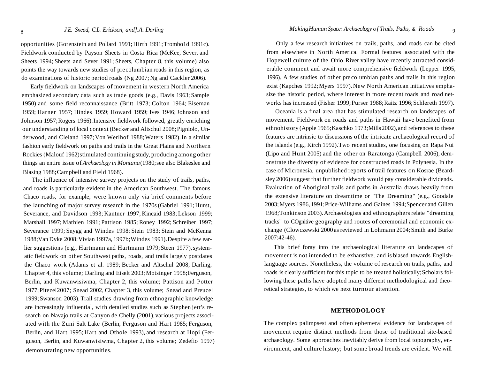opportunities (Gorenstein and Pollard 1991; Hirth 1991; Trombo1d 1991c). Fieldwork conducted by Payson Sheets in Costa Rica (McKee, Sever, and Sheets 1994; Sheets and Sever 1991; Sheets, Chapter 8, this volume) also points the way towards new studies of precolumbian roads in this region, as do examinations of historic period roads (Ng 2007; Ng and Cackler 2006).

Early fieldwork on landscapes of movement in western North America emphasized secondary data such as trade goods (e.g., Davis 1963; Sample 1950) and some field reconnaissance (Britt 1973; Colton 1964; Eiseman 1959; Harner 1957; Hindes 1959; Howard 1959; Ives 1946;Johnson and Johnson 1957;Rogers 1966).Intensive fieldwork followed, greatly enriching our understanding of local context (Becker and Altschul 2008; Pigniolo, Underwood, and Cleland 1997; Von Werlhof 1988;Waters 1982). In a similar fashion early fieldwork on paths and trails in the Great Plains and Northern Rockies (Malouf 1962)stimulated continuing study, producing among other things an entire issue of *Archaeology in Montana*(1980;see also Blakeslee and Blasing 1988;Campbell and Field 1968).

The influence of intensive survey projects on the study of trails, paths, and roads is particularly evident in the American Southwest. The famous Chaco roads, for example, were known only via brief comments before the launching of major survey research in the 1970s (Gabriel 1991; Hurst, Severance, and Davidson 1993; Kantner 1997; Kincaid 1983; Lekson 1999; Marshall 1997; Mathien 1991; Pattison 1985; Roney 1992; Schreiber 1997; Severance 1999; Snygg and Windes 1998; Stein 1983; Stein and McKenna 1988;Van Dyke 2008;Vivian 1997a, 1997b;Windes 1991).Despite a few earlier suggestions (e.g., Hartmann and Hartmann 1979;Steen 1977), systematic fieldwork on other Southwest paths, roads, and trails largely postdates the Chaco work (Adams et al. 1989; Becker and Altschul 2008; Darling, Chapter 4, this volume; Darling and Eiselt 2003; Motsinger 1998; Ferguson, Berlin, and Kuwanwisiwma, Chapter 2, this volume; Pattison and Potter 1977;Pitezel2007; Snead 2002, Chapter 3, this volume; Snead and Preucel 1999;Swanson 2003). Trail studies drawing from ethnographic knowledge are increasingly influential, with detailed studies such as Stephen jett's research on Navajo trails at Canyon de Chelly (2001), various projects associated with the Zuni Salt Lake (Berlin, Ferguson and Hart 1985; Ferguson, Berlin, and Hart 1995; Hart and Othole 1993), and research at Hopi (Ferguson, Berlin, and Kuwanwisiwma, Chapter 2, this volume; Zedefio 1997) demonstrating new opportunities.

Only a few research initiatives on trails, paths, and roads can be cited from elsewhere in North America. Formal features associated with the Hopewell culture of the Ohio River valley have recently attracted considerable comment and await more comprehensive fieldwork (Lepper 1995, 1996). A few studies of other pre columbian paths and trails in this region exist (Kapches 1992; Myers 1997). New North American initiatives emphasize the historic period, where interest in more recent roads and road networks has increased (Fisher 1999;Purser 1988;Raitz 1996;Schlereth 1997).

Oceania is a final area that has stimulated research on landscapes of movement. Fieldwork on roads and paths in Hawaii have benefited from ethnohistory (Apple 1965;Kaschko 1973;Mills2002),and references to these features are intrinsic to discussions of the intricate archaeological record of the islands (e.g., Kirch 1992).Two recent studies, one focusing on Rapa Nui (Lipo and Hunt 2005) and the other on Raratonga (Campbell 2006), demonstrate the diversity of evidence for constructed roads in Polynesia. In the case of Micronesia, unpublished reports of trail features on Kosrae (Beardsley 2006) suggest that further fieldwork would pay considerable dividends. Evaluation of Aboriginal trails and paths in Australia draws heavily from the extensive literature on dreamtime or "The Dreaming" (e.g., Goodale 2003;Myers 1986, 1991;Price-Williams and Gaines 1994;Spencer and Gillen 1968;Tonkinson 2003).Archaeologists and ethnographers relate "dreaming tracks" to COgnitive geography and routes of ceremonial and economic exchange (Clowczewski 2000 as reviewed in Lohmann 2004; Smith and Burke 2007:42-46).

This brief foray into the archaeological literature on landscapes of movement is not intended to be exhaustive, and is biased towards Englishlanguage sources. Nonetheless, the volume of research on trails, paths, and roads is clearly sufficient for this topic to be treated holistically; Scholars following these paths have adopted many different methodological and theoretical strategies, to which we next turnour attention.

#### **METHODOLOGY**

The complex palimpsest and often ephemeral evidence for landscapes of movement require distinct methods from those of traditional site-based archaeology. Some approaches inevitably derive from local topography, environment, and culture history; but some broad trends are evident. We will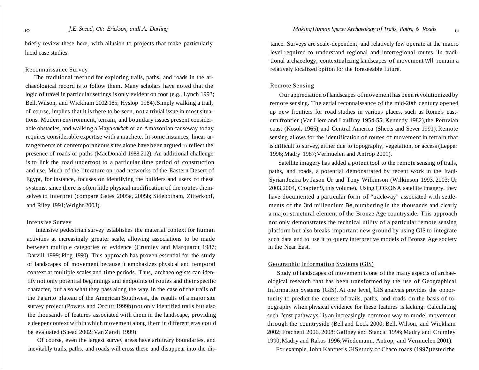briefly review these here, with allusion to projects that make particularly lucid case studies.

#### Reconnaissance Survey

The traditional method for exploring trails, paths, and roads in the archaeological record is to follow them. Many scholars have noted that the logic of travel in particular settings is only evident on foot (e.g., Lynch 1993; Bell,Wilson, and Wickham 2002:185; Hyslop 1984).Simply walking a trail, of course, implies that it is there to be seen, not a trivial issue in most situations. Modern environment, terrain, and boundary issues present considerable obstacles, and walking a Maya *sakbeh* or an Amazonian causeway today requires considerable expertise with a machete. In some instances, linear arrangements of contemporaneous sites alone have been argued to reflect the presence of roads or paths (MacDonald 1988:212). An additional challenge is to link the road underfoot to a particular time period of construction and use. Much of the literature on road networks of the Eastern Desert of Egypt, for instance, focuses on identifying the builders and users of these systems, since there is often little physical modification of the routes themselves to interpret (compare Gates 2005a, 2005b; Sidebotham, Zitterkopf, and Riley 1991;Wright 2003).

#### Intensive Survey

Intensive pedestrian survey establishes the material context for human activities at increasingly greater scale, allowing associations to be made between multiple categories of evidence (Crumley and Marquardt 1987; Darvill 1999; Plog 1990). This approach has proven essential for the study of landscapes of movement because it emphasizes physical and temporal context at multiple scales and time periods. Thus, archaeologists can identify not only potential beginnings and endpoints of routes and their specific character, but also what they pass along the way. In the case of the trails of the Pajarito plateau of the American Southwest, the results of a major site survey project (Powers and Orcutt 1999b) not only identified trails but also the thousands of features associated with them in the landscape, providing a deeper context within which movement along them in different eras could be evaluated (Snead 2002; Van Zandt 1999).

Of course, even the largest survey areas have arbitrary boundaries, and inevitably trails, paths, and roads will cross these and disappear into the dis-

tance. Surveys are scale-dependent, and relatively few operate at the macro level required to understand regional and interregional routes. 'In traditional archaeology, contextualizing landscapes of movement will remain a relatively localized option for the foreseeable future.

#### Remote Sensing

Our appreciation oflandscapes ofmovement has been revolutionized by remote sensing. The aerial reconnaissance of the mid-20th century opened up new frontiers for road studies in various places, such as Rome's eastern frontier (Van Liere and Lauffray 1954-55; Kennedy 1982),the Peruvian coast (Kosok 1965), and Central America (Sheets and Sever 1991). Remote sensing allows for the identification of routes of movement in terrain that is difficult to survey, either due to topography, vegetation, or access (Lepper 1996;Madry 1987;Vermuelen and Antrop 2001).

Satellite imagery has added a potent tool to the remote sensing of trails, paths, and roads, a potential demonstrated by recent work in the Iraqi-Syrian Jezira by Jason Ur and Tony Wilkinson (Wilkinson 1993, 2003; Ur 2003,2004, Chapter 9, this volume). Using CORONA satellite imagery, they have documented a particular form of "trackway" associated with settlements of the 3rd millennium Be, numbering in the thousands and clearly a major structural element of the Bronze Age countryside. This approach not only demonstrates the technical utility of a particular remote sensing platform but also breaks important new ground by using GIS to integrate such data and to use it to query interpretive models of Bronze Age society in the Near East.

#### Geographic Information Systems (GIS)

Study of landscapes of movement is one of the many aspects of archaeological research that has been transformed by the use of Geographical Information Systems (GIS). At one level, GIS analysis provides the opportunity to predict the course of trails, paths, and roads on the basis of topography when physical evidence for these features is lacking. Calculating such "cost pathways" is an increasingly common way to model movement through the countryside (Bell and Lock 2000; Bell, Wilson, and Wickham 2002; Frachetti 2006, 2008; Gaffney and Stancic 1996; Madry and Crumley 1990;Madry and Rakos 1996;Wiedemann, Antrop, and Vermuelen 2001).

For example, John Kantner's GIS study of Chaco roads (1997)tested the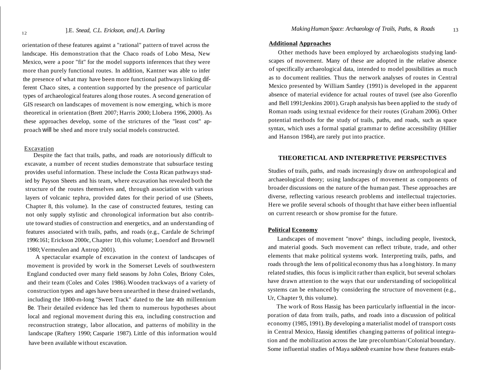orientation of these features against a "rational" pattern of travel across the landscape. His demonstration that the Chaco roads of Lobo Mesa, New Mexico, were a poor "fit" for the model supports inferences that they were more than purely functional routes. In addition, Kantner was able to infer the presence of what may have been more functional pathways linking different Chaco sites, a contention supported by the presence of particular types of archaeological features along those routes. A second generation of GIS research on landscapes of movement is now emerging, which is more theoretical in orientation (Brett 2007; Harris 2000; Llobera 1996, 2000). As these approaches develop, some of the strictures of the "least cost" approach will be shed and more truly social models constructed.

#### Excavation

Despite the fact that trails, paths, and roads are notoriously difficult to excavate, a number of recent studies demonstrate that subsurface testing provides useful information. These include the Costa Rican pathways studied by Payson Sheets and his team, where excavation has revealed both the structure of the routes themselves and, through association with various layers of volcanic tephra, provided dates for their period of use (Sheets, Chapter 8, this volume). In the case of constructed features, testing can not only supply stylistic and chronological information but also contribute toward studies of construction and energetics, and an understanding of features associated with trails, paths, and roads (e.g., Cardale de Schrimpf 1996:161; Erickson 2000c, Chapter 10, this volume; Loendorf and Brownell 1980;Vermeulen and Antrop 2001).

A spectacular example of excavation in the context of landscapes of movement is provided by work in the Somerset Levels of southwestern England conducted over many field seasons by John Coles, Briony Coles, and their team (Coles and Coles 1986).Wooden trackways of a variety of construction types and ages have been unearthed in these drained wetlands, including the 1800-m-Iong "Sweet Track" dated to the late 4th millennium Be. Their detailed evidence has led them to numerous hypotheses about local and regional movement during this era, including construction and reconstruction strategy, labor allocation, and patterns of mobility in the landscape (Raftery 1990; Casparie 1987). Little of this information would have been available without excavation.

#### **Additional Approaches**

Other methods have been employed by archaeologists studying landscapes of movement. Many of these are adopted in the relative absence of specifically archaeological data, intended to model possibilities as much as to document realities. Thus the network analyses of routes in Central Mexico presented by William Santley (1991) is developed in the apparent absence of material evidence for actual routes of travel (see also Gorenflo and Bell 1991;Jenkins 2001). Graph analysis has been applied to the study of Roman roads using textual evidence for their routes (Graham 2006). Other potential methods for the study of trails, paths, and roads, such as space syntax, which uses a formal spatial grammar to define accessibility (Hillier and Hanson 1984), are rarely put into practice.

#### **THEORETICAL AND INTERPRETIVE PERSPECTIVES**

Studies of trails, paths, and roads increasingly draw on anthropological and archaeological theory; using landscapes of movement as components of broader discussions on the nature of the human past. These approaches are diverse, reflecting various research problems and intellectual trajectories. Here we profile several schools of thought that have either been influential on current research or show promise for the future.

#### **Political Economy**

Landscapes of movement "move" things, including people, livestock, and material goods. Such movement can reflect tribute, trade, and other elements that make political systems work. Interpreting trails, paths, and roads through the lens of political economy thus has a long history. In many related studies, this focus isimplicit rather than explicit, but several scholars have drawn attention to the ways that our understanding of sociopolitical systems can be enhanced by considering the structure of movement (e.g., Ur, Chapter 9, this volume).

The work of Ross Hassig has been particularly influential in the incorporation of data from trails, paths, and roads into a discussion of political economy (1985, 1991).By developing a materialist model of transport costs in Central Mexico, Hassig identifies changing patterns of political integration and the mobilization across the late precolumbian/Colonial boundary. Some influential studies of Maya *sakbeob* examine how these features estab-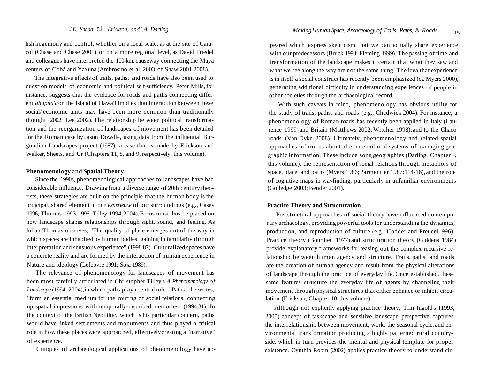lish hegemony and control, whether on a local scale, as at the site of Caracol (Chase and Chase 2001), or on a more regional level, as David Friedel and colleagues have interpreted the 100-km. causeway connecting the Maya centers of Cobá and Yaxuna (Ambrosino et al. 2003; cf Shaw 2001,2008).

The integrative effects of trails, paths, and roads have also been used to question models of economic and political self-sufficiency. Peter Mills, for instance, suggests that the evidence for roads and paths connecting different *ahupua'a*on the island of Hawaii implies that interaction between these social/ economic units may have been more common than traditionally thought (2002; Lee 2002). The relationship between political transformation and the reorganization of landscapes of movement has been detailed for the Roman case by Jason Dowdle, using data from the influential Burgundian Landscapes project (1987), a case that is made by Erickson and Walker, Sheets, and Ur (Chapters 11, 8, and 9, respectively, this volume).

#### **Phenomenology** and **Spatial Theory**

Since the 1990s, phenomenological approaches to landscapes have had considerable influence. Drawing from a diverse range of 20th century theorists, these strategies are built on the principle that the human body is the principal, shared element in our *experience* of our surroundings (e.g., Casey 1996; Thomas 1993, 1996; Tilley 1994,2004). Focus must thus be placed on how landscape shapes relationships through sight, sound, and feeling. As Julian Thomas observes, "The quality of place emerges out of the way in which spaces are inhabited by human bodies, gaining in familiarity through interpretation and sensuous experience" (1998:87). Culturalized spaces have a concrete reality and are formed by the interaction of human experience in Nature and ideology (Lefebvre 1991; Soja 1989).

The relevance of phenomenology for landscapes of movement has been most carefully articulated in Christopher Tilley's *A Phenomenology of Landscape* (1994; 2004),in which paths playa central role. "Paths," he writes, "form an essential medium for the routing of social relations, connecting up spatial impressions with temporally-inscribed memories" (1994:31). In the context of the British Neolithic, which is his particular concern, paths would have linked settlements and monuments and thus played a critical role in how these places were approached, effectivelycreating a "narrative" of experience.

Critiques of archaeological applications of phenomenology have ap-

peared which express skepticism that we can actually share experience with our predecessors (Bruck 1998; Fleming 1999). The passing of time and transformation of the landscape makes it certain that what they saw and what we see along the way are not the same thing. The idea that experience is in itself a social construct has recently been emphasized (c£ Myers 2000), generating additional difficulty in understanding experiences of people in other societies through the archaeological record.

With such caveats in mind, phenomenology has obvious utility for the study of trails, paths, and roads (e.g., Chadwick 2004). For instance, a phenomenology of Roman roads has recently been applied in Italy (Laurence 1999) and Britain (Matthews 2002; Witcher 1998), and to the Chaco roads (Van Dyke 2008). Ultimately, phenomenology and related spatial approaches inform us about alternate cultural systems of managing geographic information. These include song geographies (Darling, Chapter 4, this volume), the representation of social relations through metaphors of space, place, and paths (Myers 1986; Parmentier 1987:114-16), and the role of cognitive maps in wayfinding, particularly in unfamiliar environments (Golledge 2003; Bender 2001).

#### **Practice Theory and Structuration**

Poststructural approaches of social theory have influenced contemporary archaeology, providing powerful tools for understanding the dynamics, production, and reproduction of culture (e.g., Hodder and Preucel1996). Practice theory (Bourdieu 1977) and structuration theory (Giddens 1984) provide explanatory frameworks for teasing out the complex recursive relationship between human agency and structure. Trails, paths, and roads are the creation of human agency and result from the physical alterations of landscape through the practice of everyday life. Once established, these same features structure the everyday life of agents by channeling their movement through physical structures that either enhance or inhibit circulation (Erickson, Chapter 10, this volume).

Although not explicitly applying practice theory, Tim Ingold's (1993, 2000) concept of taskscape and sensitive landscape perspective captures the interrelationship between movement, work, the seasonal cycle, and environmental transformation producing a highly patterned rural countryside, which in turn provides the mental and physical template for proper existence. Cynthia Robin (2002) applies practice theory to understand cir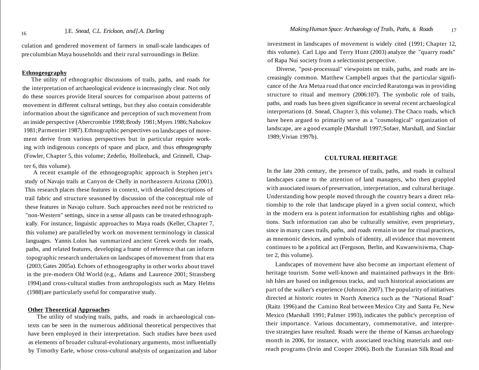culation and gendered movement of farmers in small-scale landscapes of pre columbian Maya households and their rural surroundings in Belize.

#### **Ethnogeography**

The utility of ethnographic discussions of trails, paths, and roads for the interpretation of archaeological evidence isincreasingly clear. Not only do these sources provide literal sources for comparison about patterns of movement in different cultural settings, but they also contain considerable information about the significance and perception of such movement from an inside perspective (Abercrombie 1998;Brody 1981;Myers 1986;Nabokov 1981;Parmentier 1987).Ethnographic perspectives on landscapes of movement derive from various perspectives but in particular require working with indigenous concepts of space and place, and thus *ethnogeography* (Fowler, Chapter 5, this volume; Zedefio, Hollenback, and Grinnell, Chapter 6, this volume).

A recent example of the ethnogeographic approach is Stephen jett's study of Navajo trails at Canyon de Chelly in northeastern Arizona (2001). This research places these features in context, with detailed descriptions of trail fabric and structure seasoned by discussion of the conceptual role of these features in Navajo culture. Such approaches need not be restricted to "non-Western" settings, since in a sense all pasts can be treated ethnographically. For instance, linguistic approaches to Maya roads (Keller, Chapter 7, this volume) are paralleled by work on movement terminology in classical languages. Yannis Lolos has summarized ancient Greek words for roads, paths, and related features, developing a frame of reference that can inform topographic research undertaken on landscapes of movement from that era (2003;Gates 2005a). Echoes of ethnogeography in other works about travel in the pre-modern Old World (e.g., Adams and Laurence 2001; Strassberg 1994) and cross-cultural studies from anthropologists such as Mary Helms (1988)are particularly useful for comparative study.

#### **Other Theoretical Approaches**

The utility of studying trails, paths, and roads in archaeological contexts can be seen in the numerous additional theoretical perspectives that have been employed in their interpretation. Such studies have been used as elements of broader cultural-evolutionary arguments, most influentially by Timothy Earle, whose cross-cultural analysis of organization and labor investment in landscapes of movement is widely cited (1991; Chapter 12, this volume). Carl Lipo and Terry Hunt (2003) analyze the "quarry roads" of Rapa Nui society from a selectionist perspective.

Diverse, "post-processual" viewpoints on trails, paths, and roads are increasingly common. Matthew Campbell argues that the particular significance of the Ara Metua road that once encircled Raratonga was in providing structure to ritual and memory (2006:107). The symbolic role of trails, paths, and roads has been given significance in several recent archaeological interpretations (d. Snead, Chapter 3, this volume). The Chaco roads, which have been argued to primarily serve as a "cosmological" organization of landscape, are a good example (Marshall 1997;Sofaer, Marshall, and Sinclair 1989;Vivian 1997b).

#### **CULTURAL HERITAGE**

In the late 20th century, the presence of trails, paths, and roads in cultural landscapes came to the attention of land managers, who then grappled with associated issues of preservation, interpretation, and cultural heritage. Understanding how people moved through the country bears a direct relationship to the role that landscape played in a given social context, which in the modern era is potent information for establishing rights and obligations. Such information can also be culturally sensitive, even proprietary, since in many cases trails, paths, and roads remain in use for ritual practices, as mnemonic devices, and symbols of identity, all evidence that movement continues to be a political act (Ferguson, Berlin, and Kuwanwisiwma, Chapter 2, this volume).

Landscapes of movement have also become an important element of heritage tourism. Some well-known and maintained pathways in the British Isles are based on indigenous tracks, and such historical associations are part of the walker's experience (Johnson 2007). The popularity of initiatives directed at historic routes in North America such as the "National Road" (Raitz 1996) and the Camino Real between Mexico City and Santa Fe, New Mexico (Marshall 1991; Palmer 1993), indicates the public's perception of their importance. Various documentary, commemorative, and interpretive strategies have resulted. Roads were the theme of Kansas archaeology month in 2006, for instance, with associated teaching materials and outreach programs (Irvin and Cooper 2006). Both the Eurasian Silk Road and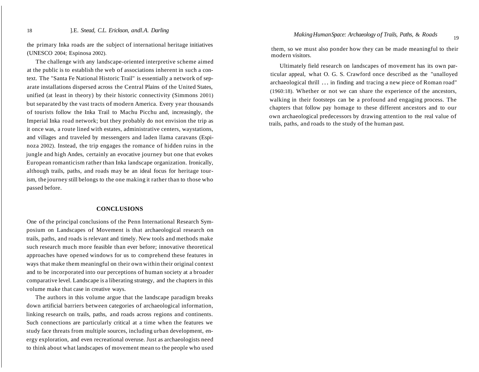the primary Inka roads are the subject of international heritage initiatives (UNESCO 2004; Espinosa 2002).

The challenge with any landscape-oriented interpretive scheme aimed at the public is to establish the web of associations inherent in such a context. The "Santa Fe National Historic Trail" is essentially a network of separate installations dispersed across the Central Plains of the United States, unified (at least in theory) by their historic connectivity (Simmons 2001) but separated by the vast tracts of modern America. Every year thousands of tourists follow the Inka Trail to Machu Picchu and, increasingly, the Imperial Inka road network; but they probably do not envision the trip as it once was, a route lined with estates, administrative centers, waystations, and villages and traveled by messengers and laden llama caravans (Espinoza 2002). Instead, the trip engages the romance of hidden ruins in the jungle and high Andes, certainly an evocative journey but one that evokes European romanticism rather than Inka landscape organization. Ironically, although trails, paths, and roads may be an ideal focus for heritage tourism, the journey still belongs to the one making it rather than to those who passed before.

#### **CONCLUSIONS**

One of the principal conclusions of the Penn International Research Symposium on Landscapes of Movement is that archaeological research on trails, paths, and roads is relevant and timely. New tools and methods make such research much more feasible than ever before; innovative theoretical approaches have opened windows for us to comprehend these features in ways that make them meaningful on their own within their original context and to be incorporated into our perceptions of human society at a broader comparative level. Landscape is a liberating strategy, and the chapters in this volume make that case in creative ways.

The authors in this volume argue that the landscape paradigm breaks down artificial barriers between categories of archaeological information, linking research on trails, paths, and roads across regions and continents. Such connections are particularly critical at a time when the features we study face threats from multiple sources, including urban development, energy exploration, and even recreational overuse. Just as archaeologists need to think about what landscapes of movement mean to the people who used

them, so we must also ponder how they can be made meaningful to their modern visitors.

Ultimately field research on landscapes of movement has its own particular appeal, what O. G. S. Crawford once described as the "unalloyed archaeological thrill ... in finding and tracing a new piece of Roman road" (1960:18). Whether or not we can share the experience of the ancestors, walking in their footsteps can be a profound and engaging process. The chapters that follow pay homage to these different ancestors and to our own archaeological predecessors by drawing attention to the real value of trails, paths, and roads to the study of the human past.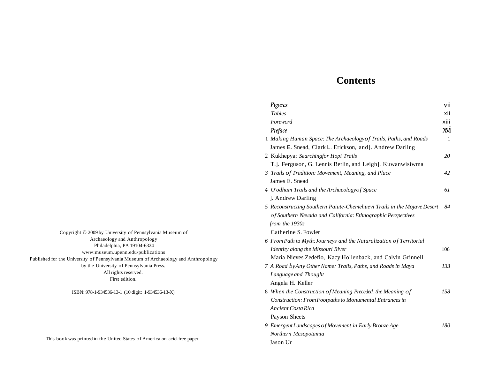### **Contents**

| Figures                                                                 | vii        |
|-------------------------------------------------------------------------|------------|
| <b>Tables</b>                                                           | xii        |
| Foreword                                                                | xiii       |
| Preface                                                                 | <b>XVI</b> |
| 1 Making Human Space: The Archaeology of Trails, Paths, and Roads       | 1          |
| James E. Snead, Clark L. Erickson, and]. Andrew Darling                 |            |
| 2 Kukhepya: Searchingfor Hopi Trails                                    | 20         |
| T.]. Ferguson, G. Lennis Berlin, and Leigh]. Kuwanwisiwma               |            |
| 3 Trails of Tradition: Movement, Meaning, and Place                     | 42         |
| James E. Snead                                                          |            |
| 4 O'odham Trails and the Archaeology of Space                           | 61         |
| ]. Andrew Darling                                                       |            |
| 5 Reconstructing Southern Paiute-Chemehuevi Trails in the Mojave Desert | 84         |
| of Southern Nevada and California: Ethnographic Perspectives            |            |
| from the 1930s                                                          |            |
| Catherine S. Fowler                                                     |            |
| 6 From Path to Myth: Journeys and the Naturalization of Territorial     |            |
| Identity along the Missouri River                                       | 106        |
| Maria Nieves Zedefio, Kacy Hollenback, and Calvin Grinnell              |            |
| 7 A Road byAny Other Name: Trails, Paths, and Roads in Maya             | 133        |
| Language and Thought                                                    |            |
| Angela H. Keller                                                        |            |
| 8 When the Construction of Meaning Preceded. the Meaning of             | 158        |
| Construction: From Footpaths to Monumental Entrances in                 |            |
| Ancient Costa Rica                                                      |            |
| Payson Sheets                                                           |            |
| 9 Emergent Landscapes of Movement in Early Bronze Age                   | 180        |
| Northern Mesopotamia                                                    |            |
| Jason Ur                                                                |            |
|                                                                         |            |

Copyright © 2009 by University of Pennsylvania Museum of Archaeology and Anthropology Philadelphia, PA 19104-6324 www:museum.upenn.edu/publications Published for the University of Pennsylvania Museum of Archaeology and Anthropology by the University of Pennsylvania Press. All rights reserved.

First edition.

ISBN: 978-1-934536-13-1 (10 digit: 1-934536-13-X)

|  |  |  |  |  |  | This book was printed in the United States of America on acid-free paper. |
|--|--|--|--|--|--|---------------------------------------------------------------------------|
|--|--|--|--|--|--|---------------------------------------------------------------------------|